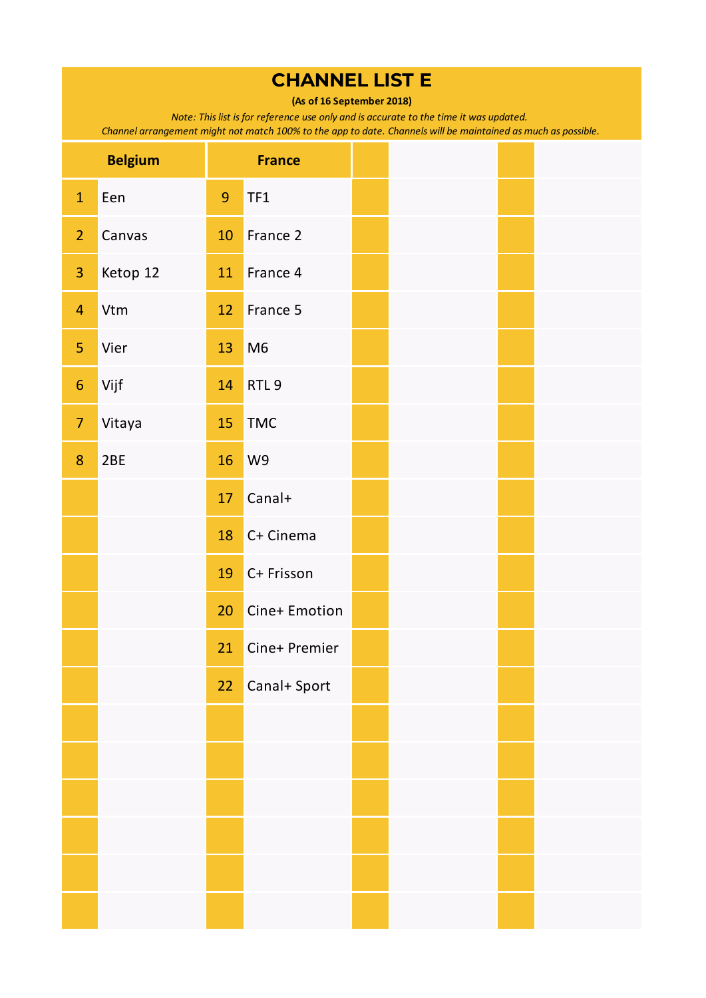**(As of 16 September 2018)**

*Note: This list is for reference use only and is accurate to the time it was updated.* 

|                         | <b>Belgium</b> |                 | <b>France</b>    |  |  |
|-------------------------|----------------|-----------------|------------------|--|--|
| $\mathbf{1}$            | Een            | $\overline{9}$  | TF1              |  |  |
| $\overline{2}$          | Canvas         | 10              | France 2         |  |  |
| $\overline{\mathbf{3}}$ | Ketop 12       | 11              | France 4         |  |  |
| $\overline{4}$          | Vtm            | 12              | France 5         |  |  |
| 5                       | Vier           | 13              | M <sub>6</sub>   |  |  |
| $\boldsymbol{6}$        | Vijf           | 14              | RTL <sub>9</sub> |  |  |
| $\overline{7}$          | Vitaya         | 15              | <b>TMC</b>       |  |  |
| 8                       | 2BE            | 16              | W9               |  |  |
|                         |                | 17              | Canal+           |  |  |
|                         |                | 18              | C+ Cinema        |  |  |
|                         |                | 19              | C+ Frisson       |  |  |
|                         |                | 20              | Cine+ Emotion    |  |  |
|                         |                | 21              | Cine+ Premier    |  |  |
|                         |                | 22 <sub>2</sub> | Canal+ Sport     |  |  |
|                         |                |                 |                  |  |  |
|                         |                |                 |                  |  |  |
|                         |                |                 |                  |  |  |
|                         |                |                 |                  |  |  |
|                         |                |                 |                  |  |  |
|                         |                |                 |                  |  |  |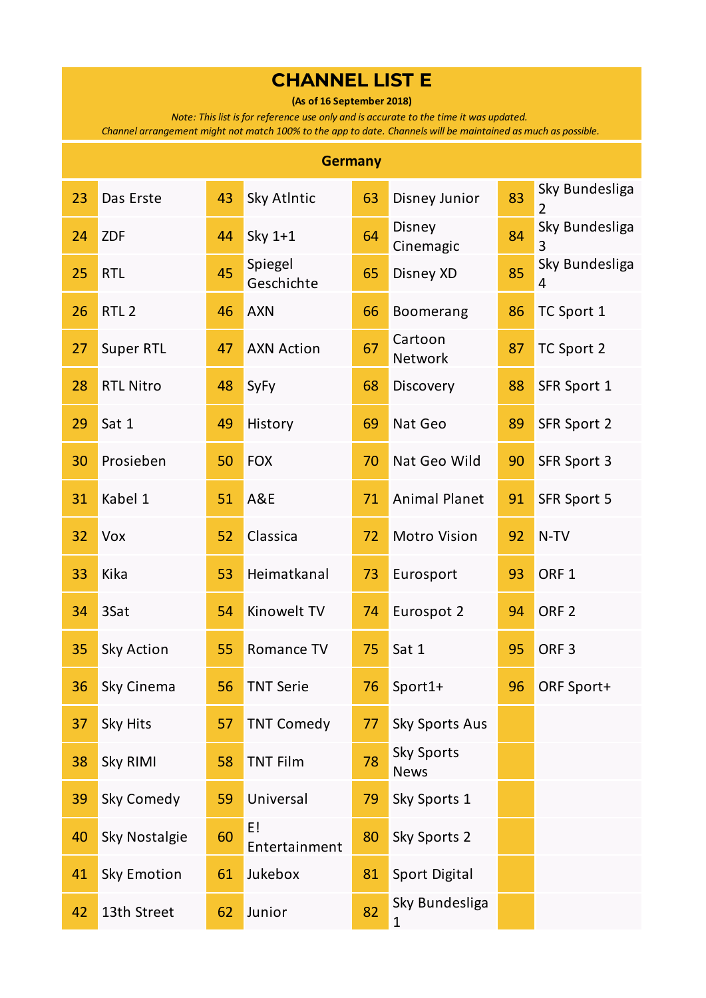**(As of 16 September 2018)**

*Note: This list is for reference use only and is accurate to the time it was updated.* 

|                 | <b>Germany</b>     |    |                       |    |                                  |    |                     |  |  |  |  |  |
|-----------------|--------------------|----|-----------------------|----|----------------------------------|----|---------------------|--|--|--|--|--|
| 23              | Das Erste          | 43 | Sky Atlntic           | 63 | Disney Junior                    | 83 | Sky Bundesliga<br>2 |  |  |  |  |  |
| 24              | <b>ZDF</b>         | 44 | Sky 1+1               | 64 | Disney<br>Cinemagic              | 84 | Sky Bundesliga<br>3 |  |  |  |  |  |
| 25              | <b>RTL</b>         | 45 | Spiegel<br>Geschichte | 65 | Disney XD                        | 85 | Sky Bundesliga<br>4 |  |  |  |  |  |
| 26              | RTL <sub>2</sub>   | 46 | <b>AXN</b>            | 66 | <b>Boomerang</b>                 | 86 | TC Sport 1          |  |  |  |  |  |
| 27              | <b>Super RTL</b>   | 47 | <b>AXN Action</b>     | 67 | Cartoon<br>Network               | 87 | TC Sport 2          |  |  |  |  |  |
| 28              | <b>RTL Nitro</b>   | 48 | SyFy                  | 68 | Discovery                        | 88 | SFR Sport 1         |  |  |  |  |  |
| 29              | Sat 1              | 49 | History               | 69 | Nat Geo                          | 89 | SFR Sport 2         |  |  |  |  |  |
| 30              | Prosieben          | 50 | <b>FOX</b>            | 70 | Nat Geo Wild                     | 90 | SFR Sport 3         |  |  |  |  |  |
| 31              | Kabel 1            | 51 | A&E                   | 71 | <b>Animal Planet</b>             | 91 | SFR Sport 5         |  |  |  |  |  |
| 32              | Vox                | 52 | Classica              | 72 | <b>Motro Vision</b>              | 92 | N-TV                |  |  |  |  |  |
| 33              | Kika               | 53 | Heimatkanal           | 73 | Eurosport                        | 93 | ORF <sub>1</sub>    |  |  |  |  |  |
| 34              | 3Sat               | 54 | Kinowelt TV           | 74 | Eurospot 2                       | 94 | ORF <sub>2</sub>    |  |  |  |  |  |
| 35              | Sky Action         | 55 | Romance TV            | 75 | Sat 1                            | 95 | ORF <sub>3</sub>    |  |  |  |  |  |
| 36 <sup>°</sup> | Sky Cinema         | 56 | <b>TNT Serie</b>      | 76 | Sport1+                          | 96 | ORF Sport+          |  |  |  |  |  |
| 37              | Sky Hits           | 57 | <b>TNT Comedy</b>     | 77 | <b>Sky Sports Aus</b>            |    |                     |  |  |  |  |  |
| 38              | <b>Sky RIMI</b>    | 58 | <b>TNT Film</b>       | 78 | <b>Sky Sports</b><br><b>News</b> |    |                     |  |  |  |  |  |
| 39              | Sky Comedy         | 59 | Universal             | 79 | Sky Sports 1                     |    |                     |  |  |  |  |  |
| 40              | Sky Nostalgie      | 60 | E!<br>Entertainment   | 80 | Sky Sports 2                     |    |                     |  |  |  |  |  |
| 41              | <b>Sky Emotion</b> | 61 | Jukebox               | 81 | Sport Digital                    |    |                     |  |  |  |  |  |
| 42              | 13th Street        | 62 | Junior                | 82 | Sky Bundesliga<br>1              |    |                     |  |  |  |  |  |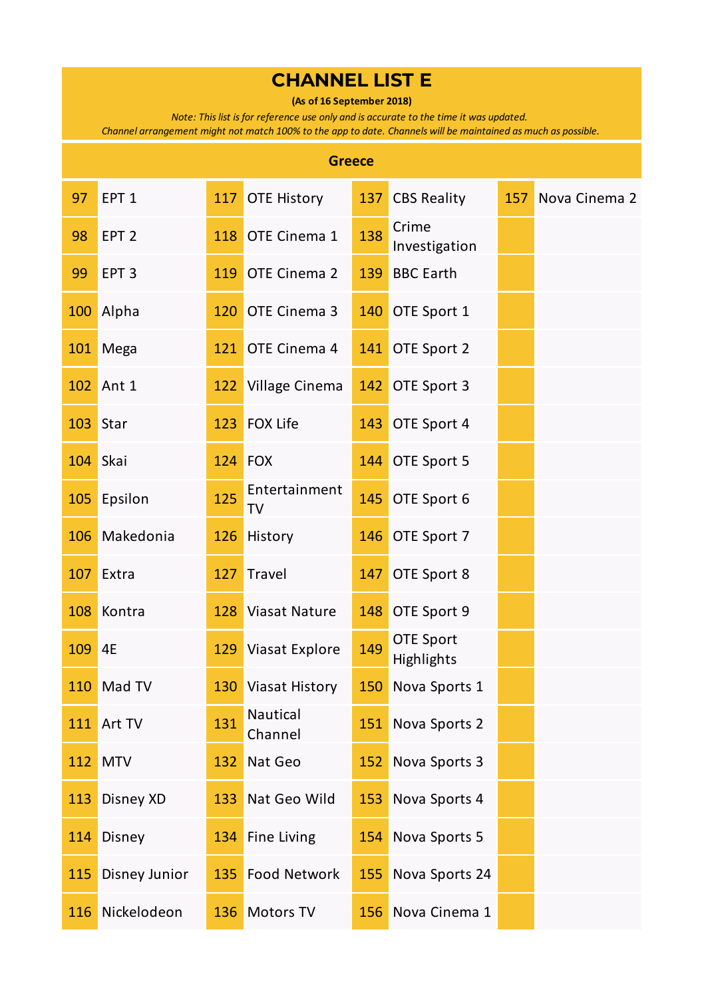**(As of 16 September 2018)**

*Note: This list is for reference use only and is accurate to the time it was updated.* 

| <b>Greece</b> |                  |     |                            |     |                                |     |               |  |  |  |  |
|---------------|------------------|-----|----------------------------|-----|--------------------------------|-----|---------------|--|--|--|--|
| 97            | EPT <sub>1</sub> | 117 | <b>OTE History</b>         | 137 | <b>CBS Reality</b>             | 157 | Nova Cinema 2 |  |  |  |  |
| 98            | EPT <sub>2</sub> | 118 | OTE Cinema 1               | 138 | Crime<br>Investigation         |     |               |  |  |  |  |
| 99            | EPT <sub>3</sub> | 119 | OTE Cinema 2               | 139 | <b>BBC Earth</b>               |     |               |  |  |  |  |
| 100           | Alpha            | 120 | OTE Cinema 3               | 140 | OTE Sport 1                    |     |               |  |  |  |  |
| 101           | Mega             | 121 | OTE Cinema 4               | 141 | OTE Sport 2                    |     |               |  |  |  |  |
| 102           | Ant 1            | 122 | Village Cinema             |     | 142 OTE Sport 3                |     |               |  |  |  |  |
| 103           | Star             | 123 | <b>FOX Life</b>            | 143 | OTE Sport 4                    |     |               |  |  |  |  |
| 104           | Skai             | 124 | <b>FOX</b>                 | 144 | OTE Sport 5                    |     |               |  |  |  |  |
| 105           | Epsilon          | 125 | Entertainment<br><b>TV</b> | 145 | OTE Sport 6                    |     |               |  |  |  |  |
| 106           | Makedonia        | 126 | History                    | 146 | OTE Sport 7                    |     |               |  |  |  |  |
| 107           | Extra            | 127 | Travel                     | 147 | OTE Sport 8                    |     |               |  |  |  |  |
| 108           | Kontra           | 128 | <b>Viasat Nature</b>       | 148 | OTE Sport 9                    |     |               |  |  |  |  |
| 109           | 4E               | 129 | Viasat Explore             | 149 | <b>OTE Sport</b><br>Highlights |     |               |  |  |  |  |
|               | 110 Mad TV       |     | 130 Viasat History         |     | 150 Nova Sports 1              |     |               |  |  |  |  |
| 111           | Art TV           | 131 | Nautical<br>Channel        | 151 | Nova Sports 2                  |     |               |  |  |  |  |
| 112           | <b>MTV</b>       | 132 | Nat Geo                    | 152 | Nova Sports 3                  |     |               |  |  |  |  |
| 113           | Disney XD        | 133 | Nat Geo Wild               | 153 | Nova Sports 4                  |     |               |  |  |  |  |
| 114           | Disney           | 134 | <b>Fine Living</b>         | 154 | Nova Sports 5                  |     |               |  |  |  |  |
| 115           | Disney Junior    | 135 | <b>Food Network</b>        | 155 | Nova Sports 24                 |     |               |  |  |  |  |
| 116           | Nickelodeon      | 136 | <b>Motors TV</b>           | 156 | Nova Cinema 1                  |     |               |  |  |  |  |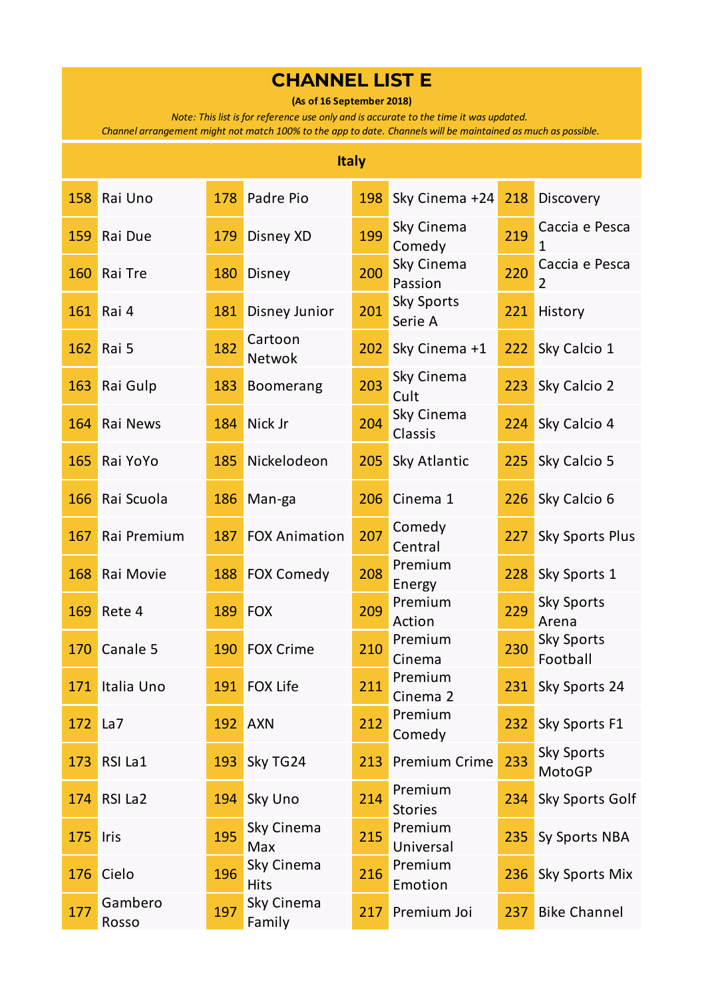**(As of 16 September 2018)**

*Note: This list is for reference use only and is accurate to the time it was updated.* 

|     | <b>Italy</b>     |     |                           |     |                              |     |                                  |  |  |  |  |
|-----|------------------|-----|---------------------------|-----|------------------------------|-----|----------------------------------|--|--|--|--|
| 158 | Rai Uno          | 178 | Padre Pio                 | 198 | Sky Cinema +24               | 218 | Discovery                        |  |  |  |  |
| 159 | Rai Due          | 179 | Disney XD                 | 199 | Sky Cinema<br>Comedy         | 219 | Caccia e Pesca<br>1              |  |  |  |  |
| 160 | Rai Tre          | 180 | Disney                    | 200 | Sky Cinema<br>Passion        | 220 | Caccia e Pesca<br>$\overline{2}$ |  |  |  |  |
| 161 | Rai 4            | 181 | Disney Junior             | 201 | <b>Sky Sports</b><br>Serie A | 221 | History                          |  |  |  |  |
| 162 | Rai 5            | 182 | Cartoon<br><b>Netwok</b>  | 202 | Sky Cinema +1                | 222 | Sky Calcio 1                     |  |  |  |  |
| 163 | Rai Gulp         | 183 | Boomerang                 | 203 | Sky Cinema<br>Cult           | 223 | Sky Calcio 2                     |  |  |  |  |
| 164 | Rai News         | 184 | Nick Jr                   | 204 | Sky Cinema<br>Classis        | 224 | Sky Calcio 4                     |  |  |  |  |
| 165 | Rai YoYo         | 185 | Nickelodeon               | 205 | Sky Atlantic                 | 225 | Sky Calcio 5                     |  |  |  |  |
| 166 | Rai Scuola       | 186 | Man-ga                    | 206 | Cinema 1                     | 226 | Sky Calcio 6                     |  |  |  |  |
| 167 | Rai Premium      | 187 | <b>FOX Animation</b>      | 207 | Comedy<br>Central            | 227 | <b>Sky Sports Plus</b>           |  |  |  |  |
| 168 | Rai Movie        | 188 | <b>FOX Comedy</b>         | 208 | Premium<br>Energy            | 228 | Sky Sports 1                     |  |  |  |  |
| 169 | Rete 4           | 189 | <b>FOX</b>                | 209 | Premium<br>Action            | 229 | <b>Sky Sports</b><br>Arena       |  |  |  |  |
| 170 | Canale 5         | 190 | <b>FOX Crime</b>          | 210 | Premium<br>Cinema            | 230 | <b>Sky Sports</b><br>Football    |  |  |  |  |
|     | 171 Italia Uno   |     | 191 FOX Life              | 211 | Premium<br>Cinema 2          | 231 | Sky Sports 24                    |  |  |  |  |
| 172 | La7              |     | <b>192 AXN</b>            | 212 | Premium<br>Comedy            | 232 | Sky Sports F1                    |  |  |  |  |
| 173 | RSI La1          | 193 | Sky TG24                  | 213 | <b>Premium Crime</b>         | 233 | <b>Sky Sports</b><br>MotoGP      |  |  |  |  |
| 174 | RSI La2          | 194 | Sky Uno                   | 214 | Premium<br><b>Stories</b>    | 234 | Sky Sports Golf                  |  |  |  |  |
| 175 | Iris             | 195 | Sky Cinema<br>Max         | 215 | Premium<br>Universal         | 235 | Sy Sports NBA                    |  |  |  |  |
| 176 | Cielo            | 196 | Sky Cinema<br><b>Hits</b> | 216 | Premium<br>Emotion           | 236 | Sky Sports Mix                   |  |  |  |  |
| 177 | Gambero<br>Rosso | 197 | Sky Cinema<br>Family      | 217 | Premium Joi                  | 237 | <b>Bike Channel</b>              |  |  |  |  |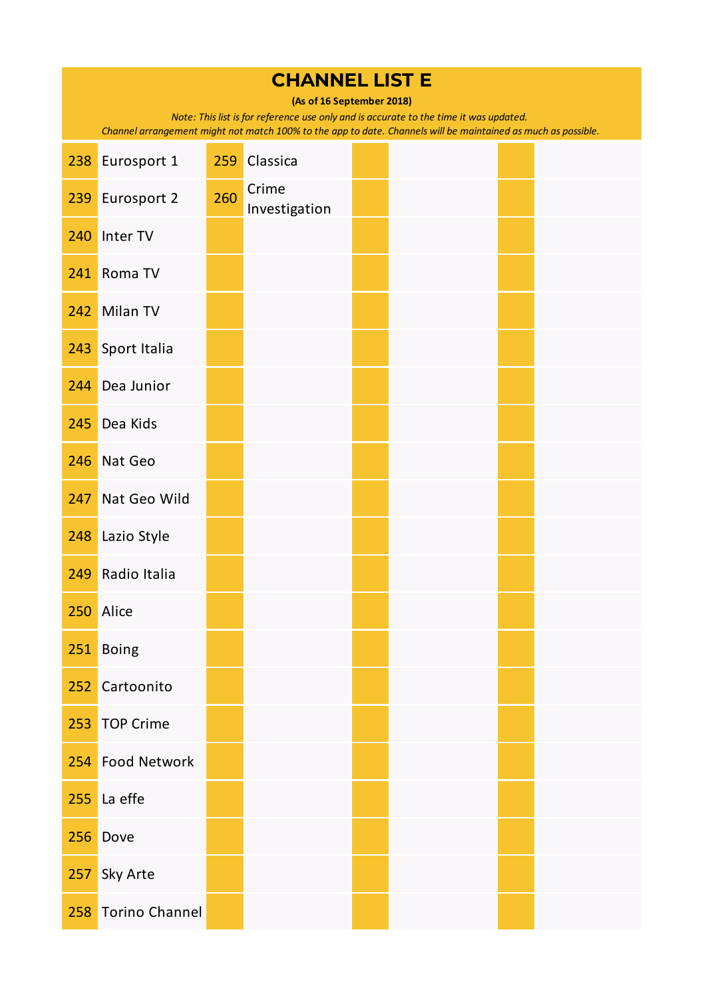| <b>CHANNEL LIST E</b><br>(As of 16 September 2018) |                                                                                                                                                                                                        |     |                        |  |  |  |  |  |  |  |  |
|----------------------------------------------------|--------------------------------------------------------------------------------------------------------------------------------------------------------------------------------------------------------|-----|------------------------|--|--|--|--|--|--|--|--|
|                                                    | Note: This list is for reference use only and is accurate to the time it was updated.<br>Channel arrangement might not match 100% to the app to date. Channels will be maintained as much as possible. |     |                        |  |  |  |  |  |  |  |  |
| 238                                                | Eurosport 1                                                                                                                                                                                            | 259 | Classica               |  |  |  |  |  |  |  |  |
| 239                                                | Eurosport 2                                                                                                                                                                                            | 260 | Crime<br>Investigation |  |  |  |  |  |  |  |  |
| 240                                                | Inter TV                                                                                                                                                                                               |     |                        |  |  |  |  |  |  |  |  |
| 241                                                | Roma TV                                                                                                                                                                                                |     |                        |  |  |  |  |  |  |  |  |
| 242                                                | Milan TV                                                                                                                                                                                               |     |                        |  |  |  |  |  |  |  |  |
| 243                                                | Sport Italia                                                                                                                                                                                           |     |                        |  |  |  |  |  |  |  |  |
| 244                                                | Dea Junior                                                                                                                                                                                             |     |                        |  |  |  |  |  |  |  |  |
| 245                                                | Dea Kids                                                                                                                                                                                               |     |                        |  |  |  |  |  |  |  |  |
| 246                                                | Nat Geo                                                                                                                                                                                                |     |                        |  |  |  |  |  |  |  |  |
| 247                                                | Nat Geo Wild                                                                                                                                                                                           |     |                        |  |  |  |  |  |  |  |  |
| 248                                                | Lazio Style                                                                                                                                                                                            |     |                        |  |  |  |  |  |  |  |  |
| 249                                                | Radio Italia                                                                                                                                                                                           |     |                        |  |  |  |  |  |  |  |  |
|                                                    | 250 Alice                                                                                                                                                                                              |     |                        |  |  |  |  |  |  |  |  |
| 251                                                | <b>Boing</b>                                                                                                                                                                                           |     |                        |  |  |  |  |  |  |  |  |
| 252                                                | Cartoonito                                                                                                                                                                                             |     |                        |  |  |  |  |  |  |  |  |
| 253                                                | <b>TOP Crime</b>                                                                                                                                                                                       |     |                        |  |  |  |  |  |  |  |  |
| 254                                                | <b>Food Network</b>                                                                                                                                                                                    |     |                        |  |  |  |  |  |  |  |  |
|                                                    | 255 La effe                                                                                                                                                                                            |     |                        |  |  |  |  |  |  |  |  |
| 256                                                | Dove                                                                                                                                                                                                   |     |                        |  |  |  |  |  |  |  |  |
| 257                                                | Sky Arte                                                                                                                                                                                               |     |                        |  |  |  |  |  |  |  |  |
| 258                                                | <b>Torino Channel</b>                                                                                                                                                                                  |     |                        |  |  |  |  |  |  |  |  |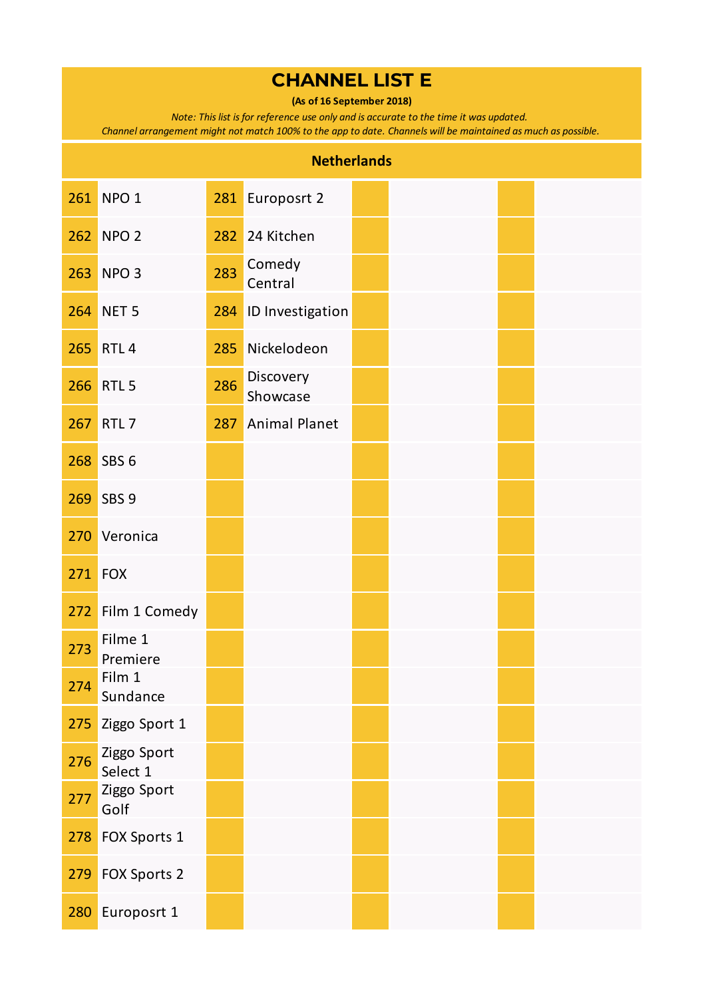**(As of 16 September 2018)**

*Note: This list is for reference use only and is accurate to the time it was updated.* 

| <b>Netherlands</b> |                         |     |                       |  |  |  |  |  |  |
|--------------------|-------------------------|-----|-----------------------|--|--|--|--|--|--|
|                    | 261 NPO 1               |     | 281 Europosrt 2       |  |  |  |  |  |  |
|                    | 262 NPO 2               | 282 | 24 Kitchen            |  |  |  |  |  |  |
| 263                | NPO <sub>3</sub>        | 283 | Comedy<br>Central     |  |  |  |  |  |  |
| 264                | NET <sub>5</sub>        | 284 | ID Investigation      |  |  |  |  |  |  |
|                    | 265 RTL 4               | 285 | Nickelodeon           |  |  |  |  |  |  |
|                    | 266 RTL 5               | 286 | Discovery<br>Showcase |  |  |  |  |  |  |
| 267                | RTL <sub>7</sub>        | 287 | <b>Animal Planet</b>  |  |  |  |  |  |  |
|                    | 268 SBS 6               |     |                       |  |  |  |  |  |  |
| 269                | SBS <sub>9</sub>        |     |                       |  |  |  |  |  |  |
| 270                | Veronica                |     |                       |  |  |  |  |  |  |
| 271                | FOX                     |     |                       |  |  |  |  |  |  |
|                    | 272 Film 1 Comedy       |     |                       |  |  |  |  |  |  |
| 273                | Filme 1<br>Premiere     |     |                       |  |  |  |  |  |  |
| 274                | Film 1<br>Sundance      |     |                       |  |  |  |  |  |  |
| 275                | Ziggo Sport 1           |     |                       |  |  |  |  |  |  |
| 276                | Ziggo Sport<br>Select 1 |     |                       |  |  |  |  |  |  |
| 277                | Ziggo Sport<br>Golf     |     |                       |  |  |  |  |  |  |
| 278                | FOX Sports 1            |     |                       |  |  |  |  |  |  |
| 279                | FOX Sports 2            |     |                       |  |  |  |  |  |  |
| 280                | Europosrt 1             |     |                       |  |  |  |  |  |  |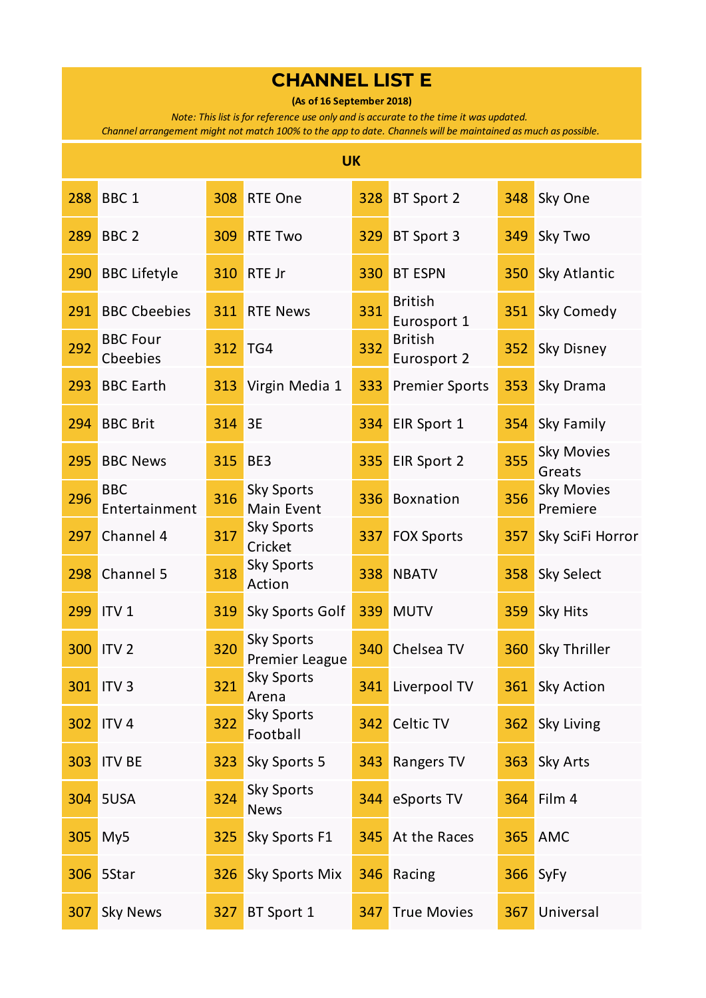**(As of 16 September 2018)**

*Note: This list is for reference use only and is accurate to the time it was updated.* 

|     | <b>UK</b>                   |     |                                     |     |                               |     |                               |  |  |  |  |
|-----|-----------------------------|-----|-------------------------------------|-----|-------------------------------|-----|-------------------------------|--|--|--|--|
| 288 | BBC <sub>1</sub>            | 308 | RTE One                             | 328 | BT Sport 2                    | 348 | Sky One                       |  |  |  |  |
| 289 | BBC <sub>2</sub>            | 309 | <b>RTE Two</b>                      | 329 | BT Sport 3                    | 349 | Sky Two                       |  |  |  |  |
| 290 | <b>BBC Lifetyle</b>         | 310 | RTE Jr                              | 330 | <b>BT ESPN</b>                | 350 | Sky Atlantic                  |  |  |  |  |
| 291 | <b>BBC Cbeebies</b>         | 311 | <b>RTE News</b>                     | 331 | <b>British</b><br>Eurosport 1 | 351 | Sky Comedy                    |  |  |  |  |
| 292 | <b>BBC Four</b><br>Cbeebies | 312 | TG4                                 | 332 | <b>British</b><br>Eurosport 2 | 352 | Sky Disney                    |  |  |  |  |
| 293 | <b>BBC Earth</b>            | 313 | Virgin Media 1                      | 333 | <b>Premier Sports</b>         | 353 | Sky Drama                     |  |  |  |  |
| 294 | <b>BBC Brit</b>             | 314 | 3E                                  | 334 | EIR Sport 1                   | 354 | Sky Family                    |  |  |  |  |
| 295 | <b>BBC News</b>             | 315 | BE3                                 | 335 | EIR Sport 2                   | 355 | <b>Sky Movies</b><br>Greats   |  |  |  |  |
| 296 | <b>BBC</b><br>Entertainment | 316 | <b>Sky Sports</b><br>Main Event     | 336 | Boxnation                     | 356 | <b>Sky Movies</b><br>Premiere |  |  |  |  |
| 297 | Channel 4                   | 317 | <b>Sky Sports</b><br>Cricket        | 337 | <b>FOX Sports</b>             | 357 | Sky SciFi Horror              |  |  |  |  |
| 298 | Channel 5                   | 318 | <b>Sky Sports</b><br>Action         | 338 | <b>NBATV</b>                  | 358 | Sky Select                    |  |  |  |  |
| 299 | ITV <sub>1</sub>            | 319 | Sky Sports Golf                     | 339 | <b>MUTV</b>                   | 359 | Sky Hits                      |  |  |  |  |
| 300 | <b>ITV<sub>2</sub></b>      | 320 | <b>Sky Sports</b><br>Premier League | 340 | Chelsea TV                    | 360 | Sky Thriller                  |  |  |  |  |
|     | 301 ITV 3                   | 321 | <b>Sky Sports</b><br>Arena          |     | 341 Liverpool TV              | 361 | <b>Sky Action</b>             |  |  |  |  |
| 302 | ITV <sub>4</sub>            | 322 | <b>Sky Sports</b><br>Football       | 342 | Celtic TV                     | 362 | Sky Living                    |  |  |  |  |
| 303 | <b>ITV BE</b>               | 323 | Sky Sports 5                        | 343 | Rangers TV                    | 363 | Sky Arts                      |  |  |  |  |
| 304 | 5USA                        | 324 | <b>Sky Sports</b><br><b>News</b>    | 344 | eSports TV                    | 364 | Film 4                        |  |  |  |  |
| 305 | My5                         | 325 | Sky Sports F1                       | 345 | At the Races                  | 365 | <b>AMC</b>                    |  |  |  |  |
| 306 | 5Star                       | 326 | Sky Sports Mix                      | 346 | Racing                        | 366 | SyFy                          |  |  |  |  |
| 307 | <b>Sky News</b>             | 327 | BT Sport 1                          | 347 | <b>True Movies</b>            | 367 | Universal                     |  |  |  |  |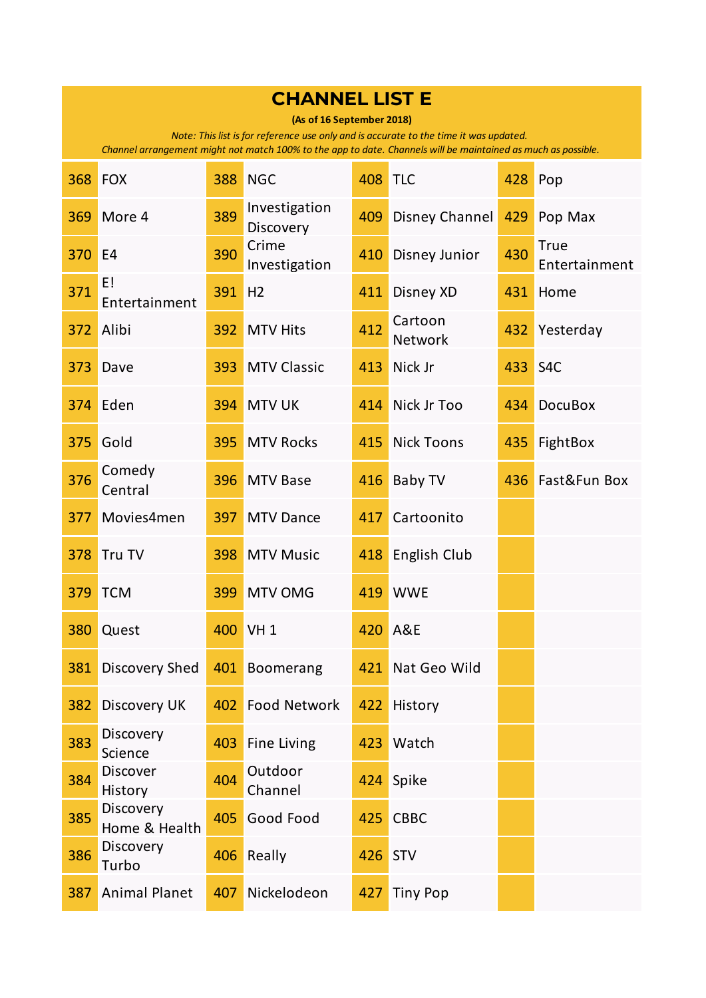|     | <b>CHANNEL LIST E</b>                                                                                                                                                                                                               |     |                            |     |                      |     |                              |  |  |  |  |
|-----|-------------------------------------------------------------------------------------------------------------------------------------------------------------------------------------------------------------------------------------|-----|----------------------------|-----|----------------------|-----|------------------------------|--|--|--|--|
|     | (As of 16 September 2018)<br>Note: This list is for reference use only and is accurate to the time it was updated.<br>Channel arrangement might not match 100% to the app to date. Channels will be maintained as much as possible. |     |                            |     |                      |     |                              |  |  |  |  |
| 368 | <b>FOX</b>                                                                                                                                                                                                                          | 388 | <b>NGC</b>                 | 408 | <b>TLC</b>           | 428 | Pop                          |  |  |  |  |
| 369 | More 4                                                                                                                                                                                                                              | 389 | Investigation<br>Discovery | 409 | Disney Channel       | 429 | Pop Max                      |  |  |  |  |
| 370 | E <sub>4</sub>                                                                                                                                                                                                                      | 390 | Crime<br>Investigation     | 410 | <b>Disney Junior</b> | 430 | <b>True</b><br>Entertainment |  |  |  |  |
| 371 | E!<br>Entertainment                                                                                                                                                                                                                 | 391 | H <sub>2</sub>             | 411 | Disney XD            | 431 | Home                         |  |  |  |  |
| 372 | Alibi                                                                                                                                                                                                                               | 392 | <b>MTV Hits</b>            | 412 | Cartoon<br>Network   | 432 | Yesterday                    |  |  |  |  |
| 373 | Dave                                                                                                                                                                                                                                | 393 | <b>MTV Classic</b>         | 413 | Nick Jr              | 433 | S <sub>4</sub> C             |  |  |  |  |
| 374 | Eden                                                                                                                                                                                                                                | 394 | <b>MTV UK</b>              | 414 | Nick Jr Too          | 434 | <b>DocuBox</b>               |  |  |  |  |
| 375 | Gold                                                                                                                                                                                                                                | 395 | <b>MTV Rocks</b>           | 415 | <b>Nick Toons</b>    | 435 | FightBox                     |  |  |  |  |
| 376 | Comedy<br>Central                                                                                                                                                                                                                   | 396 | <b>MTV Base</b>            | 416 | Baby TV              | 436 | Fast&Fun Box                 |  |  |  |  |
| 377 | Movies4men                                                                                                                                                                                                                          | 397 | <b>MTV Dance</b>           | 417 | Cartoonito           |     |                              |  |  |  |  |
| 378 | Tru TV                                                                                                                                                                                                                              | 398 | <b>MTV Music</b>           | 418 | English Club         |     |                              |  |  |  |  |
| 379 | <b>TCM</b>                                                                                                                                                                                                                          | 399 | <b>MTV OMG</b>             | 419 | <b>WWE</b>           |     |                              |  |  |  |  |
| 380 | Quest                                                                                                                                                                                                                               |     | 400 VH 1                   | 420 | <b>A&amp;E</b>       |     |                              |  |  |  |  |
| 381 | <b>Discovery Shed</b>                                                                                                                                                                                                               | 401 | <b>Boomerang</b>           | 421 | Nat Geo Wild         |     |                              |  |  |  |  |
| 382 | Discovery UK                                                                                                                                                                                                                        | 402 | <b>Food Network</b>        | 422 | History              |     |                              |  |  |  |  |
| 383 | Discovery<br>Science                                                                                                                                                                                                                | 403 | <b>Fine Living</b>         | 423 | Watch                |     |                              |  |  |  |  |
| 384 | Discover<br>History                                                                                                                                                                                                                 | 404 | Outdoor<br>Channel         | 424 | Spike                |     |                              |  |  |  |  |
| 385 | Discovery<br>Home & Health                                                                                                                                                                                                          | 405 | Good Food                  | 425 | <b>CBBC</b>          |     |                              |  |  |  |  |
| 386 | Discovery<br>Turbo                                                                                                                                                                                                                  | 406 | Really                     | 426 | <b>STV</b>           |     |                              |  |  |  |  |
| 387 | <b>Animal Planet</b>                                                                                                                                                                                                                | 407 | Nickelodeon                | 427 | <b>Tiny Pop</b>      |     |                              |  |  |  |  |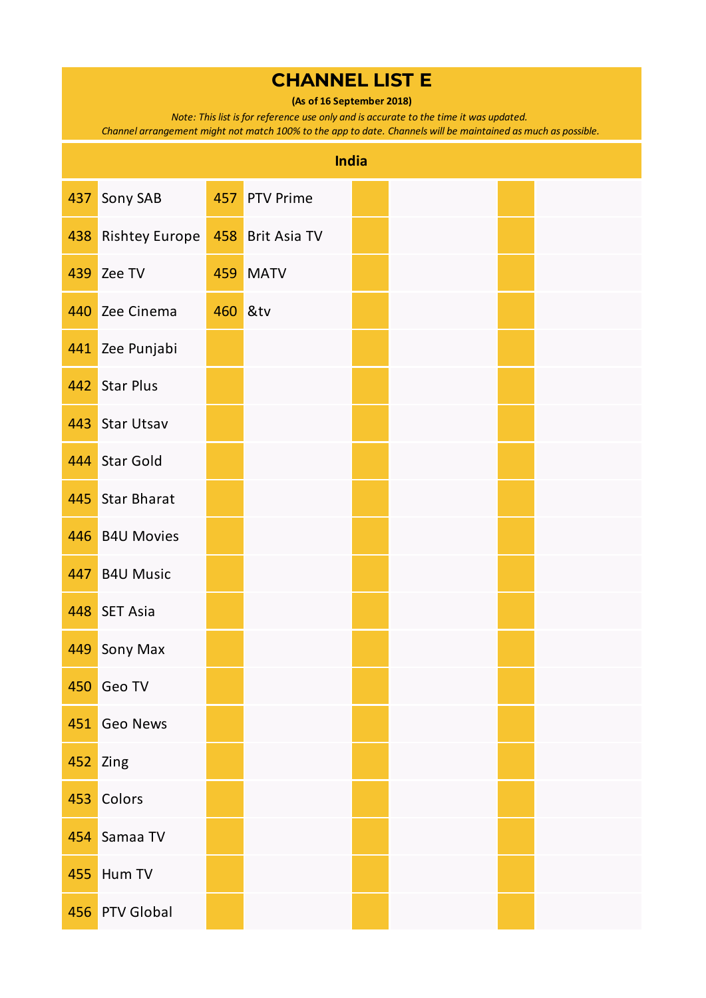**(As of 16 September 2018)**

*Note: This list is for reference use only and is accurate to the time it was updated.* 

|     | <b>India</b>          |         |                  |  |  |  |  |  |  |  |  |
|-----|-----------------------|---------|------------------|--|--|--|--|--|--|--|--|
| 437 | Sony SAB              |         | 457 PTV Prime    |  |  |  |  |  |  |  |  |
| 438 | <b>Rishtey Europe</b> |         | 458 Brit Asia TV |  |  |  |  |  |  |  |  |
| 439 | Zee TV                | 459     | <b>MATV</b>      |  |  |  |  |  |  |  |  |
| 440 | Zee Cinema            | 460 &tv |                  |  |  |  |  |  |  |  |  |
|     | 441 Zee Punjabi       |         |                  |  |  |  |  |  |  |  |  |
| 442 | <b>Star Plus</b>      |         |                  |  |  |  |  |  |  |  |  |
| 443 | <b>Star Utsav</b>     |         |                  |  |  |  |  |  |  |  |  |
|     | 444 Star Gold         |         |                  |  |  |  |  |  |  |  |  |
| 445 | <b>Star Bharat</b>    |         |                  |  |  |  |  |  |  |  |  |
| 446 | <b>B4U Movies</b>     |         |                  |  |  |  |  |  |  |  |  |
| 447 | <b>B4U Music</b>      |         |                  |  |  |  |  |  |  |  |  |
| 448 | <b>SET Asia</b>       |         |                  |  |  |  |  |  |  |  |  |
| 449 | Sony Max              |         |                  |  |  |  |  |  |  |  |  |
| 450 | Geo TV                |         |                  |  |  |  |  |  |  |  |  |
|     | 451 Geo News          |         |                  |  |  |  |  |  |  |  |  |
|     | 452 Zing              |         |                  |  |  |  |  |  |  |  |  |
| 453 | Colors                |         |                  |  |  |  |  |  |  |  |  |
| 454 | Samaa TV              |         |                  |  |  |  |  |  |  |  |  |
| 455 | Hum TV                |         |                  |  |  |  |  |  |  |  |  |
|     | 456 PTV Global        |         |                  |  |  |  |  |  |  |  |  |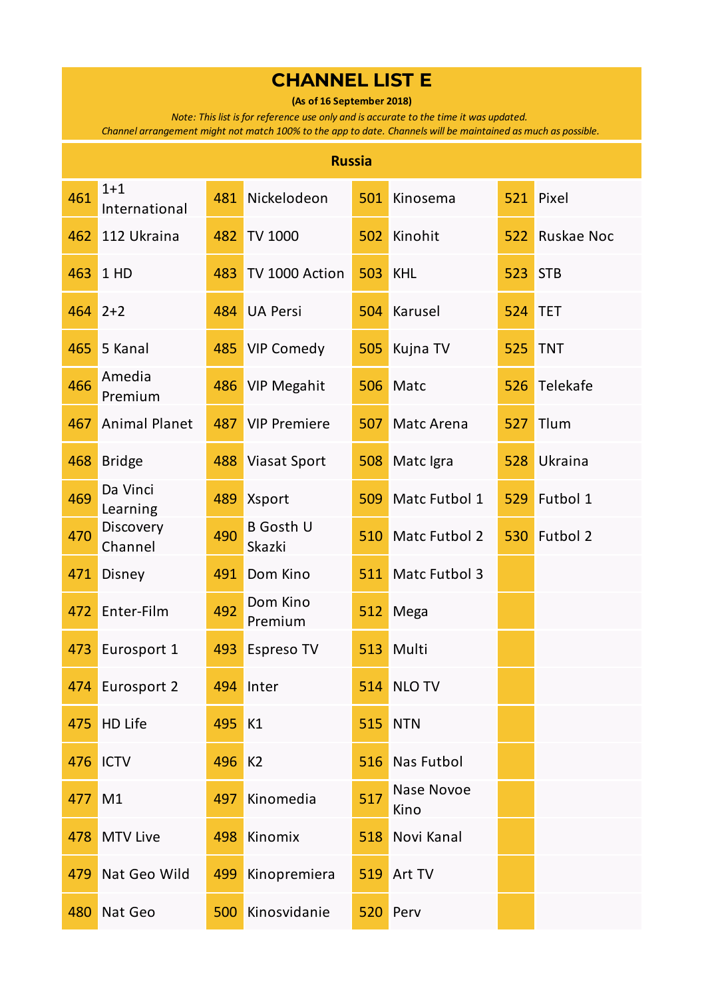**(As of 16 September 2018)**

*Note: This list is for reference use only and is accurate to the time it was updated.* 

|     | <b>Russia</b>            |        |                            |     |                      |     |                   |  |  |  |  |  |
|-----|--------------------------|--------|----------------------------|-----|----------------------|-----|-------------------|--|--|--|--|--|
| 461 | $1 + 1$<br>International | 481    | Nickelodeon                | 501 | Kinosema             | 521 | Pixel             |  |  |  |  |  |
| 462 | 112 Ukraina              | 482    | <b>TV 1000</b>             | 502 | Kinohit              | 522 | <b>Ruskae Noc</b> |  |  |  |  |  |
| 463 | 1 HD                     | 483    | TV 1000 Action             | 503 | <b>KHL</b>           | 523 | <b>STB</b>        |  |  |  |  |  |
| 464 | $2+2$                    | 484    | <b>UA Persi</b>            | 504 | Karusel              | 524 | <b>TET</b>        |  |  |  |  |  |
| 465 | 5 Kanal                  | 485    | <b>VIP Comedy</b>          | 505 | Kujna TV             | 525 | <b>TNT</b>        |  |  |  |  |  |
| 466 | Amedia<br>Premium        | 486    | <b>VIP Megahit</b>         | 506 | Matc                 | 526 | Telekafe          |  |  |  |  |  |
| 467 | <b>Animal Planet</b>     | 487    | <b>VIP Premiere</b>        | 507 | Matc Arena           | 527 | Tlum              |  |  |  |  |  |
| 468 | <b>Bridge</b>            | 488    | <b>Viasat Sport</b>        | 508 | Matc Igra            | 528 | Ukraina           |  |  |  |  |  |
| 469 | Da Vinci<br>Learning     | 489    | <b>Xsport</b>              | 509 | Matc Futbol 1        | 529 | Futbol 1          |  |  |  |  |  |
| 470 | Discovery<br>Channel     | 490    | <b>B</b> Gosth U<br>Skazki | 510 | <b>Matc Futbol 2</b> | 530 | Futbol 2          |  |  |  |  |  |
| 471 | Disney                   | 491    | Dom Kino                   | 511 | Matc Futbol 3        |     |                   |  |  |  |  |  |
| 472 | Enter-Film               | 492    | Dom Kino<br>Premium        | 512 | Mega                 |     |                   |  |  |  |  |  |
| 473 | Eurosport 1              | 493    | <b>Espreso TV</b>          | 513 | Multi                |     |                   |  |  |  |  |  |
|     | 474 Eurosport 2          |        | 494 Inter                  | 514 | NLO TV               |     |                   |  |  |  |  |  |
| 475 | HD Life                  | 495    | K1                         | 515 | <b>NTN</b>           |     |                   |  |  |  |  |  |
| 476 | ICTV                     | 496 K2 |                            | 516 | <b>Nas Futbol</b>    |     |                   |  |  |  |  |  |
| 477 | M1                       | 497    | Kinomedia                  | 517 | Nase Novoe<br>Kino   |     |                   |  |  |  |  |  |
| 478 | <b>MTV Live</b>          | 498    | Kinomix                    | 518 | Novi Kanal           |     |                   |  |  |  |  |  |
| 479 | Nat Geo Wild             | 499    | Kinopremiera               | 519 | Art TV               |     |                   |  |  |  |  |  |
| 480 | Nat Geo                  | 500    | Kinosvidanie               | 520 | Perv                 |     |                   |  |  |  |  |  |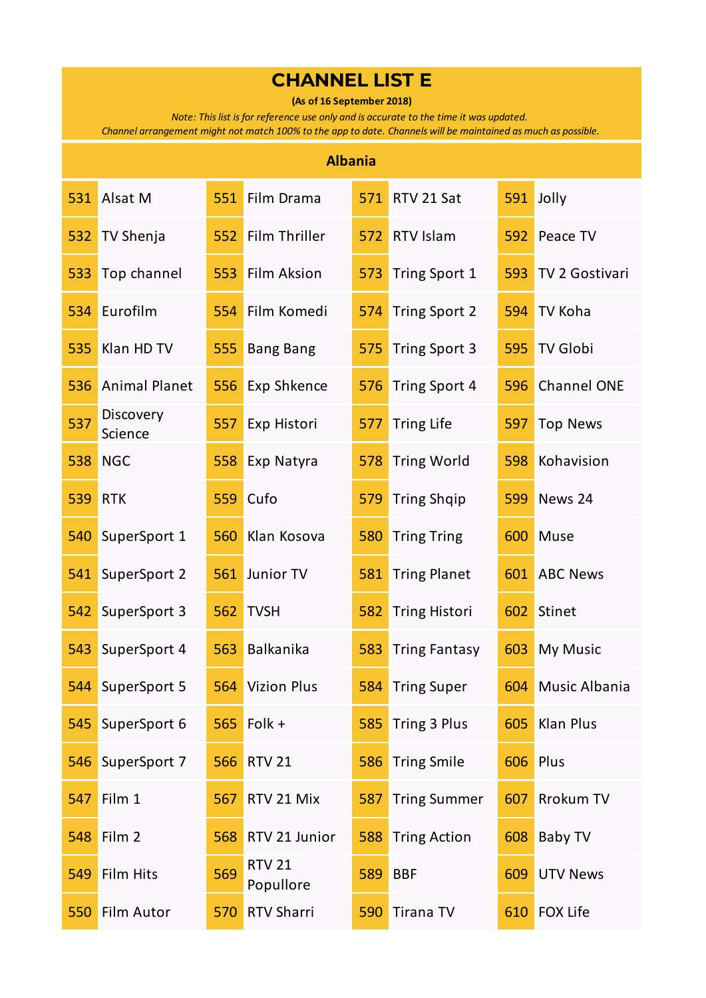**(As of 16 September 2018)**

*Note: This list is for reference use only and is accurate to the time it was updated.* 

|     | <b>Albania</b>       |     |                            |     |                      |     |                    |  |  |  |  |  |
|-----|----------------------|-----|----------------------------|-----|----------------------|-----|--------------------|--|--|--|--|--|
| 531 | Alsat M              | 551 | Film Drama                 | 571 | RTV 21 Sat           | 591 | Jolly              |  |  |  |  |  |
| 532 | <b>TV Shenja</b>     | 552 | Film Thriller              | 572 | RTV Islam            | 592 | Peace TV           |  |  |  |  |  |
| 533 | Top channel          | 553 | Film Aksion                | 573 | Tring Sport 1        | 593 | TV 2 Gostivari     |  |  |  |  |  |
| 534 | Eurofilm             | 554 | Film Komedi                | 574 | <b>Tring Sport 2</b> | 594 | TV Koha            |  |  |  |  |  |
| 535 | Klan HD TV           | 555 | <b>Bang Bang</b>           | 575 | <b>Tring Sport 3</b> | 595 | <b>TV Globi</b>    |  |  |  |  |  |
| 536 | <b>Animal Planet</b> | 556 | Exp Shkence                | 576 | <b>Tring Sport 4</b> | 596 | <b>Channel ONE</b> |  |  |  |  |  |
| 537 | Discovery<br>Science | 557 | Exp Histori                | 577 | <b>Tring Life</b>    | 597 | <b>Top News</b>    |  |  |  |  |  |
| 538 | <b>NGC</b>           | 558 | Exp Natyra                 | 578 | <b>Tring World</b>   | 598 | Kohavision         |  |  |  |  |  |
| 539 | <b>RTK</b>           | 559 | Cufo                       | 579 | <b>Tring Shqip</b>   | 599 | News 24            |  |  |  |  |  |
| 540 | SuperSport 1         | 560 | Klan Kosova                | 580 | <b>Tring Tring</b>   | 600 | Muse               |  |  |  |  |  |
| 541 | SuperSport 2         | 561 | Junior TV                  | 581 | <b>Tring Planet</b>  | 601 | <b>ABC News</b>    |  |  |  |  |  |
| 542 | SuperSport 3         | 562 | <b>TVSH</b>                | 582 | <b>Tring Histori</b> | 602 | Stinet             |  |  |  |  |  |
| 543 | SuperSport 4         | 563 | Balkanika                  | 583 | <b>Tring Fantasy</b> | 603 | My Music           |  |  |  |  |  |
|     | 544 SuperSport 5     |     | 564 Vizion Plus            | 584 | <b>Tring Super</b>   |     | 604 Music Albania  |  |  |  |  |  |
| 545 | SuperSport 6         | 565 | Folk +                     | 585 | Tring 3 Plus         | 605 | Klan Plus          |  |  |  |  |  |
| 546 | SuperSport 7         | 566 | <b>RTV 21</b>              | 586 | <b>Tring Smile</b>   | 606 | Plus               |  |  |  |  |  |
| 547 | Film 1               | 567 | RTV 21 Mix                 | 587 | <b>Tring Summer</b>  | 607 | <b>Rrokum TV</b>   |  |  |  |  |  |
| 548 | Film 2               | 568 | RTV 21 Junior              | 588 | <b>Tring Action</b>  | 608 | <b>Baby TV</b>     |  |  |  |  |  |
| 549 | Film Hits            | 569 | <b>RTV 21</b><br>Popullore | 589 | <b>BBF</b>           | 609 | <b>UTV News</b>    |  |  |  |  |  |
| 550 | Film Autor           | 570 | <b>RTV Sharri</b>          | 590 | <b>Tirana TV</b>     | 610 | <b>FOX Life</b>    |  |  |  |  |  |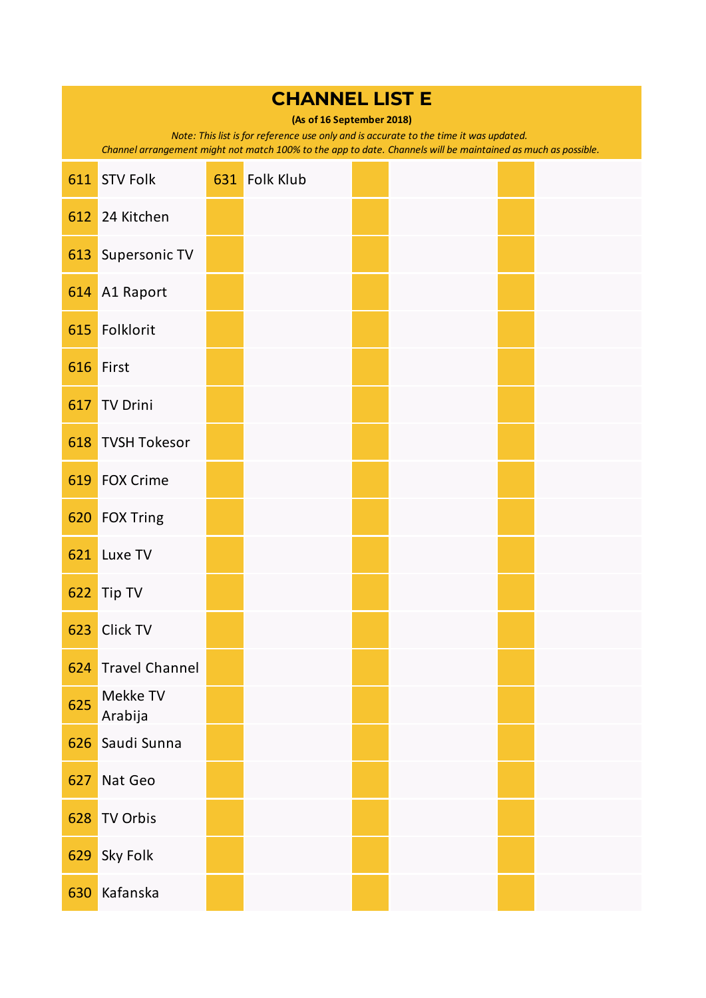|     | <b>CHANNEL LIST E</b><br>(As of 16 September 2018)<br>Note: This list is for reference use only and is accurate to the time it was updated.<br>Channel arrangement might not match 100% to the app to date. Channels will be maintained as much as possible. |  |               |  |  |  |  |  |  |  |  |
|-----|--------------------------------------------------------------------------------------------------------------------------------------------------------------------------------------------------------------------------------------------------------------|--|---------------|--|--|--|--|--|--|--|--|
| 611 | <b>STV Folk</b>                                                                                                                                                                                                                                              |  | 631 Folk Klub |  |  |  |  |  |  |  |  |
| 612 | 24 Kitchen                                                                                                                                                                                                                                                   |  |               |  |  |  |  |  |  |  |  |
| 613 | Supersonic TV                                                                                                                                                                                                                                                |  |               |  |  |  |  |  |  |  |  |
| 614 | A1 Raport                                                                                                                                                                                                                                                    |  |               |  |  |  |  |  |  |  |  |
| 615 | Folklorit                                                                                                                                                                                                                                                    |  |               |  |  |  |  |  |  |  |  |
| 616 | First                                                                                                                                                                                                                                                        |  |               |  |  |  |  |  |  |  |  |
| 617 | <b>TV Drini</b>                                                                                                                                                                                                                                              |  |               |  |  |  |  |  |  |  |  |
| 618 | <b>TVSH Tokesor</b>                                                                                                                                                                                                                                          |  |               |  |  |  |  |  |  |  |  |
| 619 | <b>FOX Crime</b>                                                                                                                                                                                                                                             |  |               |  |  |  |  |  |  |  |  |
| 620 | <b>FOX Tring</b>                                                                                                                                                                                                                                             |  |               |  |  |  |  |  |  |  |  |
| 621 | Luxe TV                                                                                                                                                                                                                                                      |  |               |  |  |  |  |  |  |  |  |
| 622 | Tip TV                                                                                                                                                                                                                                                       |  |               |  |  |  |  |  |  |  |  |
| 623 | Click TV                                                                                                                                                                                                                                                     |  |               |  |  |  |  |  |  |  |  |
| 624 | <b>Travel Channel</b>                                                                                                                                                                                                                                        |  |               |  |  |  |  |  |  |  |  |
| 625 | Mekke TV<br>Arabija                                                                                                                                                                                                                                          |  |               |  |  |  |  |  |  |  |  |
| 626 | Saudi Sunna                                                                                                                                                                                                                                                  |  |               |  |  |  |  |  |  |  |  |
| 627 | Nat Geo                                                                                                                                                                                                                                                      |  |               |  |  |  |  |  |  |  |  |
| 628 | <b>TV Orbis</b>                                                                                                                                                                                                                                              |  |               |  |  |  |  |  |  |  |  |
| 629 | Sky Folk                                                                                                                                                                                                                                                     |  |               |  |  |  |  |  |  |  |  |
| 630 | Kafanska                                                                                                                                                                                                                                                     |  |               |  |  |  |  |  |  |  |  |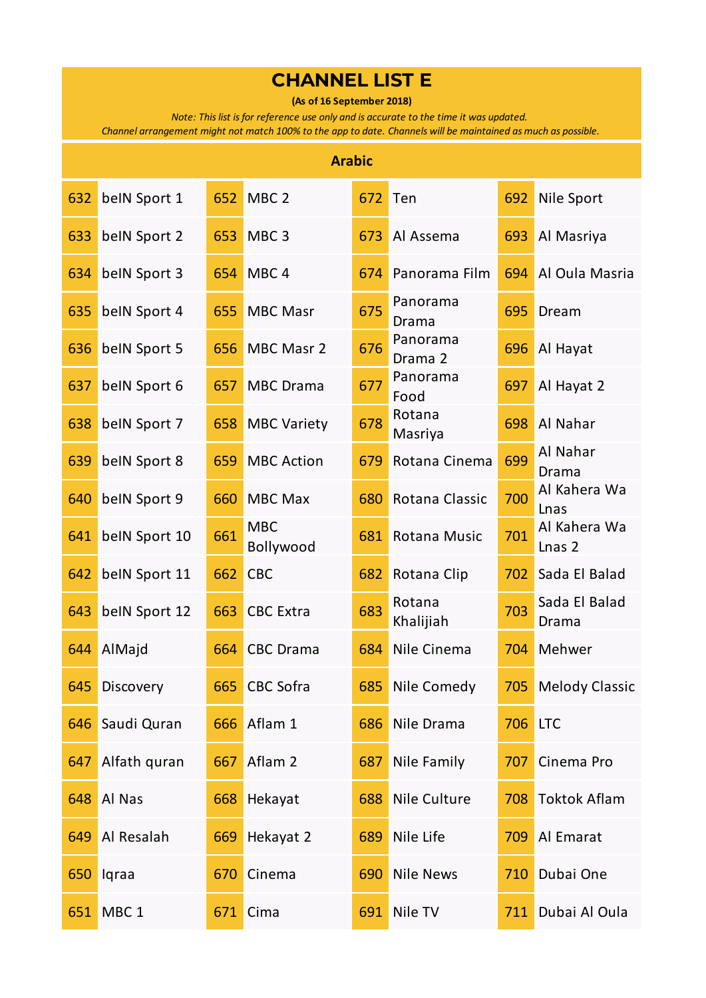**(As of 16 September 2018)**

*Note: This list is for reference use only and is accurate to the time it was updated.* 

|     | <b>Arabic</b>    |     |                         |     |                     |     |                                   |  |  |  |
|-----|------------------|-----|-------------------------|-----|---------------------|-----|-----------------------------------|--|--|--|
| 632 | belN Sport 1     | 652 | MBC <sub>2</sub>        | 672 | Ten                 | 692 | Nile Sport                        |  |  |  |
| 633 | belN Sport 2     | 653 | MBC <sub>3</sub>        | 673 | Al Assema           | 693 | Al Masriya                        |  |  |  |
| 634 | belN Sport 3     | 654 | MBC <sub>4</sub>        | 674 | Panorama Film       | 694 | Al Oula Masria                    |  |  |  |
| 635 | belN Sport 4     | 655 | <b>MBC Masr</b>         | 675 | Panorama<br>Drama   | 695 | Dream                             |  |  |  |
| 636 | belN Sport 5     | 656 | MBC Masr 2              | 676 | Panorama<br>Drama 2 | 696 | Al Hayat                          |  |  |  |
| 637 | belN Sport 6     | 657 | <b>MBC</b> Drama        | 677 | Panorama<br>Food    | 697 | Al Hayat 2                        |  |  |  |
| 638 | belN Sport 7     | 658 | <b>MBC Variety</b>      | 678 | Rotana<br>Masriya   | 698 | Al Nahar                          |  |  |  |
| 639 | belN Sport 8     | 659 | <b>MBC Action</b>       | 679 | Rotana Cinema       | 699 | Al Nahar<br>Drama                 |  |  |  |
| 640 | belN Sport 9     | 660 | <b>MBC Max</b>          | 680 | Rotana Classic      | 700 | Al Kahera Wa<br>Lnas              |  |  |  |
| 641 | belN Sport 10    | 661 | <b>MBC</b><br>Bollywood | 681 | <b>Rotana Music</b> | 701 | Al Kahera Wa<br>Lnas <sub>2</sub> |  |  |  |
| 642 | belN Sport 11    | 662 | <b>CBC</b>              | 682 | Rotana Clip         | 702 | Sada El Balad                     |  |  |  |
| 643 | belN Sport 12    | 663 | <b>CBC</b> Extra        | 683 | Rotana<br>Khalijiah | 703 | Sada El Balad<br>Drama            |  |  |  |
| 644 | AlMajd           | 664 | <b>CBC</b> Drama        | 684 | Nile Cinema         | 704 | Mehwer                            |  |  |  |
| 645 | Discovery        |     | 665 CBC Sofra           |     | 685 Nile Comedy     |     | 705 Melody Classic                |  |  |  |
| 646 | Saudi Quran      | 666 | Aflam 1                 | 686 | Nile Drama          | 706 | <b>LTC</b>                        |  |  |  |
| 647 | Alfath quran     | 667 | Aflam 2                 | 687 | Nile Family         | 707 | Cinema Pro                        |  |  |  |
| 648 | Al Nas           | 668 | Hekayat                 | 688 | Nile Culture        | 708 | <b>Toktok Aflam</b>               |  |  |  |
| 649 | Al Resalah       | 669 | Hekayat 2               | 689 | Nile Life           | 709 | Al Emarat                         |  |  |  |
| 650 | Iqraa            | 670 | Cinema                  | 690 | <b>Nile News</b>    | 710 | Dubai One                         |  |  |  |
| 651 | MBC <sub>1</sub> | 671 | Cima                    | 691 | Nile TV             | 711 | Dubai Al Oula                     |  |  |  |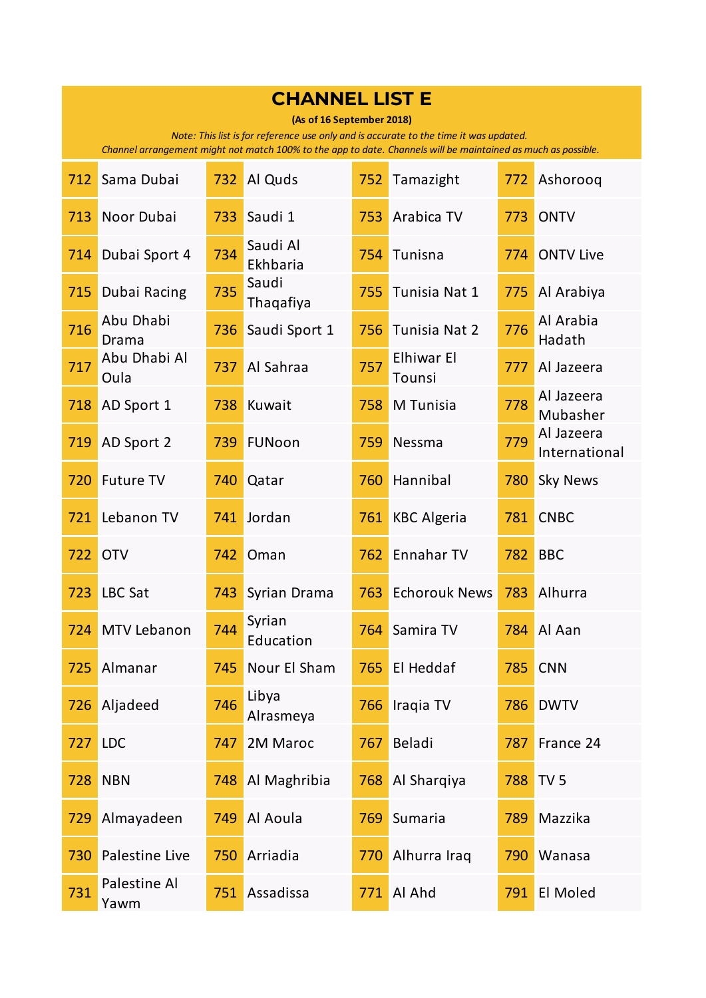| <b>CHANNEL LIST E</b><br>(As of 16 September 2018)<br>Note: This list is for reference use only and is accurate to the time it was updated.<br>Channel arrangement might not match 100% to the app to date. Channels will be maintained as much as possible. |                      |     |                      |     |                      |     |                             |
|--------------------------------------------------------------------------------------------------------------------------------------------------------------------------------------------------------------------------------------------------------------|----------------------|-----|----------------------|-----|----------------------|-----|-----------------------------|
| 712                                                                                                                                                                                                                                                          | Sama Dubai           | 732 | Al Quds              | 752 | Tamazight            | 772 | Ashoroog                    |
| 713                                                                                                                                                                                                                                                          | Noor Dubai           | 733 | Saudi 1              | 753 | Arabica TV           | 773 | <b>ONTV</b>                 |
| 714                                                                                                                                                                                                                                                          | Dubai Sport 4        | 734 | Saudi Al<br>Ekhbaria | 754 | Tunisna              | 774 | <b>ONTV Live</b>            |
| 715                                                                                                                                                                                                                                                          | Dubai Racing         | 735 | Saudi<br>Thaqafiya   | 755 | Tunisia Nat 1        | 775 | Al Arabiya                  |
| 716                                                                                                                                                                                                                                                          | Abu Dhabi<br>Drama   | 736 | Saudi Sport 1        | 756 | Tunisia Nat 2        | 776 | Al Arabia<br>Hadath         |
| 717                                                                                                                                                                                                                                                          | Abu Dhabi Al<br>Oula | 737 | Al Sahraa            | 757 | Elhiwar El<br>Tounsi | 777 | Al Jazeera                  |
| 718                                                                                                                                                                                                                                                          | AD Sport 1           | 738 | Kuwait               | 758 | M Tunisia            | 778 | Al Jazeera<br>Mubasher      |
| 719                                                                                                                                                                                                                                                          | AD Sport 2           | 739 | FUNoon               | 759 | Nessma               | 779 | Al Jazeera<br>International |
| 720                                                                                                                                                                                                                                                          | <b>Future TV</b>     | 740 | Qatar                | 760 | Hannibal             | 780 | <b>Sky News</b>             |
| 721                                                                                                                                                                                                                                                          | Lebanon TV           | 741 | Jordan               | 761 | <b>KBC Algeria</b>   | 781 | <b>CNBC</b>                 |
| 722                                                                                                                                                                                                                                                          | <b>OTV</b>           | 742 | Oman                 | 762 | Ennahar TV           | 782 | <b>BBC</b>                  |
| 723                                                                                                                                                                                                                                                          | <b>LBC Sat</b>       | 743 | Syrian Drama         | 763 | <b>Echorouk News</b> | 783 | Alhurra                     |
| 724                                                                                                                                                                                                                                                          | MTV Lebanon          | 744 | Syrian<br>Education  | 764 | Samira TV            | 784 | Al Aan                      |
| 725                                                                                                                                                                                                                                                          | Almanar              | 745 | Nour El Sham         | 765 | El Heddaf            | 785 | <b>CNN</b>                  |
| 726                                                                                                                                                                                                                                                          | Aljadeed             | 746 | Libya<br>Alrasmeya   | 766 | Iraqia TV            | 786 | <b>DWTV</b>                 |
| 727                                                                                                                                                                                                                                                          | <b>LDC</b>           | 747 | 2M Maroc             | 767 | Beladi               | 787 | France 24                   |
| 728                                                                                                                                                                                                                                                          | <b>NBN</b>           | 748 | Al Maghribia         | 768 | Al Sharqiya          | 788 | TV <sub>5</sub>             |
| 729                                                                                                                                                                                                                                                          | Almayadeen           | 749 | Al Aoula             | 769 | Sumaria              | 789 | Mazzika                     |
| 730                                                                                                                                                                                                                                                          | Palestine Live       | 750 | Arriadia             | 770 | Alhurra Iraq         | 790 | Wanasa                      |
| 731                                                                                                                                                                                                                                                          | Palestine Al<br>Yawm | 751 | Assadissa            | 771 | Al Ahd               | 791 | El Moled                    |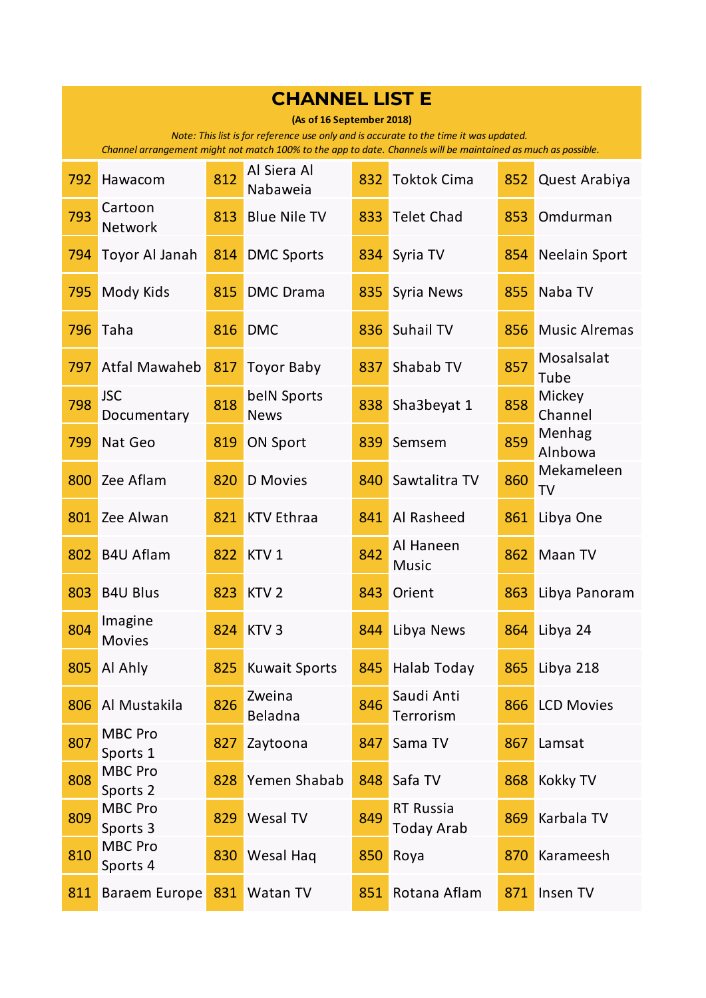| <b>CHANNEL LIST E</b><br>(As of 16 September 2018)<br>Note: This list is for reference use only and is accurate to the time it was updated.<br>Channel arrangement might not match 100% to the app to date. Channels will be maintained as much as possible. |                            |     |                            |     |                                       |     |                      |  |
|--------------------------------------------------------------------------------------------------------------------------------------------------------------------------------------------------------------------------------------------------------------|----------------------------|-----|----------------------------|-----|---------------------------------------|-----|----------------------|--|
| 792                                                                                                                                                                                                                                                          | Hawacom                    | 812 | Al Siera Al<br>Nabaweia    | 832 | <b>Toktok Cima</b>                    | 852 | Quest Arabiya        |  |
| 793                                                                                                                                                                                                                                                          | Cartoon<br><b>Network</b>  | 813 | <b>Blue Nile TV</b>        | 833 | <b>Telet Chad</b>                     | 853 | Omdurman             |  |
| 794                                                                                                                                                                                                                                                          | Toyor Al Janah             | 814 | <b>DMC Sports</b>          | 834 | Syria TV                              | 854 | <b>Neelain Sport</b> |  |
| 795                                                                                                                                                                                                                                                          | Mody Kids                  | 815 | <b>DMC</b> Drama           | 835 | Syria News                            | 855 | Naba TV              |  |
| 796                                                                                                                                                                                                                                                          | Taha                       | 816 | <b>DMC</b>                 | 836 | Suhail TV                             | 856 | <b>Music Alremas</b> |  |
| 797                                                                                                                                                                                                                                                          | <b>Atfal Mawaheb</b>       | 817 | <b>Toyor Baby</b>          | 837 | Shabab TV                             | 857 | Mosalsalat<br>Tube   |  |
| 798                                                                                                                                                                                                                                                          | <b>JSC</b><br>Documentary  | 818 | belN Sports<br><b>News</b> | 838 | Sha3beyat 1                           | 858 | Mickey<br>Channel    |  |
| 799                                                                                                                                                                                                                                                          | Nat Geo                    | 819 | <b>ON Sport</b>            | 839 | Semsem                                | 859 | Menhag<br>Alnbowa    |  |
| 800                                                                                                                                                                                                                                                          | Zee Aflam                  | 820 | <b>D</b> Movies            | 840 | Sawtalitra TV                         | 860 | Mekameleen<br>TV     |  |
| 801                                                                                                                                                                                                                                                          | Zee Alwan                  | 821 | <b>KTV Ethraa</b>          | 841 | Al Rasheed                            | 861 | Libya One            |  |
| 802                                                                                                                                                                                                                                                          | <b>B4U Aflam</b>           | 822 | KTV <sub>1</sub>           | 842 | Al Haneen<br><b>Music</b>             | 862 | Maan TV              |  |
| 803                                                                                                                                                                                                                                                          | <b>B4U Blus</b>            | 823 | KTV <sub>2</sub>           | 843 | Orient                                | 863 | Libya Panoram        |  |
| 804                                                                                                                                                                                                                                                          | Imagine<br><b>Movies</b>   | 824 | KTV <sub>3</sub>           | 844 | Libya News                            | 864 | Libya 24             |  |
| 805                                                                                                                                                                                                                                                          | Al Ahly                    | 825 | <b>Kuwait Sports</b>       | 845 | Halab Today                           | 865 | Libya 218            |  |
| 806                                                                                                                                                                                                                                                          | Al Mustakila               | 826 | Zweina<br>Beladna          | 846 | Saudi Anti<br>Terrorism               | 866 | <b>LCD Movies</b>    |  |
| 807                                                                                                                                                                                                                                                          | <b>MBC Pro</b><br>Sports 1 | 827 | Zaytoona                   | 847 | Sama TV                               | 867 | Lamsat               |  |
| 808                                                                                                                                                                                                                                                          | <b>MBC Pro</b><br>Sports 2 | 828 | Yemen Shabab               | 848 | Safa TV                               | 868 | Kokky TV             |  |
| 809                                                                                                                                                                                                                                                          | MBC Pro<br>Sports 3        | 829 | Wesal TV                   | 849 | <b>RT Russia</b><br><b>Today Arab</b> | 869 | Karbala TV           |  |
| 810                                                                                                                                                                                                                                                          | <b>MBC Pro</b><br>Sports 4 | 830 | Wesal Hag                  | 850 | Roya                                  | 870 | Karameesh            |  |
| 811                                                                                                                                                                                                                                                          | <b>Baraem Europe</b>       | 831 | Watan TV                   | 851 | Rotana Aflam                          | 871 | Insen TV             |  |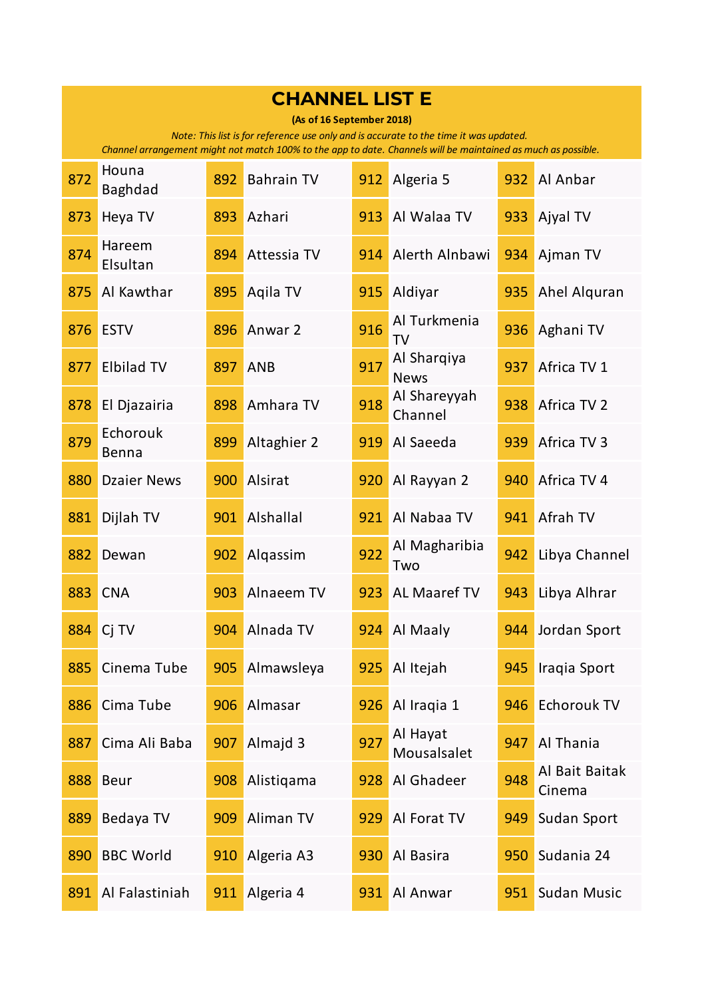| <b>CHANNEL LIST E</b>                                                                                                                                                                                                               |                         |     |                   |     |                            |     |                          |  |  |
|-------------------------------------------------------------------------------------------------------------------------------------------------------------------------------------------------------------------------------------|-------------------------|-----|-------------------|-----|----------------------------|-----|--------------------------|--|--|
| (As of 16 September 2018)<br>Note: This list is for reference use only and is accurate to the time it was updated.<br>Channel arrangement might not match 100% to the app to date. Channels will be maintained as much as possible. |                         |     |                   |     |                            |     |                          |  |  |
| 872                                                                                                                                                                                                                                 | Houna<br><b>Baghdad</b> | 892 | <b>Bahrain TV</b> | 912 | Algeria 5                  | 932 | Al Anbar                 |  |  |
| 873                                                                                                                                                                                                                                 | Heya TV                 | 893 | Azhari            | 913 | Al Walaa TV                | 933 | Ajyal TV                 |  |  |
| 874                                                                                                                                                                                                                                 | Hareem<br>Elsultan      | 894 | Attessia TV       | 914 | Alerth Alnbawi             | 934 | Ajman TV                 |  |  |
| 875                                                                                                                                                                                                                                 | Al Kawthar              | 895 | Aqila TV          | 915 | Aldiyar                    | 935 | Ahel Alguran             |  |  |
| 876                                                                                                                                                                                                                                 | <b>ESTV</b>             | 896 | Anwar 2           | 916 | Al Turkmenia<br><b>TV</b>  | 936 | Aghani TV                |  |  |
| 877                                                                                                                                                                                                                                 | <b>Elbilad TV</b>       | 897 | <b>ANB</b>        | 917 | Al Sharqiya<br><b>News</b> | 937 | Africa TV 1              |  |  |
| 878                                                                                                                                                                                                                                 | El Djazairia            | 898 | Amhara TV         | 918 | Al Shareyyah<br>Channel    | 938 | Africa TV 2              |  |  |
| 879                                                                                                                                                                                                                                 | Echorouk<br>Benna       | 899 | Altaghier 2       | 919 | Al Saeeda                  | 939 | Africa TV 3              |  |  |
| 880                                                                                                                                                                                                                                 | <b>Dzaier News</b>      | 900 | Alsirat           | 920 | Al Rayyan 2                | 940 | Africa TV 4              |  |  |
| 881                                                                                                                                                                                                                                 | Dijlah TV               | 901 | Alshallal         | 921 | Al Nabaa TV                | 941 | Afrah TV                 |  |  |
| 882                                                                                                                                                                                                                                 | Dewan                   | 902 | Alqassim          | 922 | Al Magharibia<br>Two       | 942 | Libya Channel            |  |  |
| 883                                                                                                                                                                                                                                 | <b>CNA</b>              | 903 | Alnaeem TV        | 923 | AL Maaref TV               | 943 | Libya Alhrar             |  |  |
| 884                                                                                                                                                                                                                                 | Ci TV                   | 904 | Alnada TV         | 924 | Al Maaly                   | 944 | Jordan Sport             |  |  |
| 885                                                                                                                                                                                                                                 | Cinema Tube             | 905 | Almawsleya        | 925 | Al Itejah                  | 945 | Iraqia Sport             |  |  |
| 886                                                                                                                                                                                                                                 | Cima Tube               | 906 | Almasar           | 926 | Al Iraqia 1                | 946 | <b>Echorouk TV</b>       |  |  |
| 887                                                                                                                                                                                                                                 | Cima Ali Baba           | 907 | Almajd 3          | 927 | Al Hayat<br>Mousalsalet    | 947 | Al Thania                |  |  |
| 888                                                                                                                                                                                                                                 | <b>Beur</b>             | 908 | Alistigama        | 928 | Al Ghadeer                 | 948 | Al Bait Baitak<br>Cinema |  |  |
| 889                                                                                                                                                                                                                                 | Bedaya TV               | 909 | Aliman TV         | 929 | Al Forat TV                | 949 | Sudan Sport              |  |  |
| 890                                                                                                                                                                                                                                 | <b>BBC World</b>        | 910 | Algeria A3        | 930 | Al Basira                  | 950 | Sudania 24               |  |  |
| 891                                                                                                                                                                                                                                 | Al Falastiniah          | 911 | Algeria 4         | 931 | Al Anwar                   | 951 | Sudan Music              |  |  |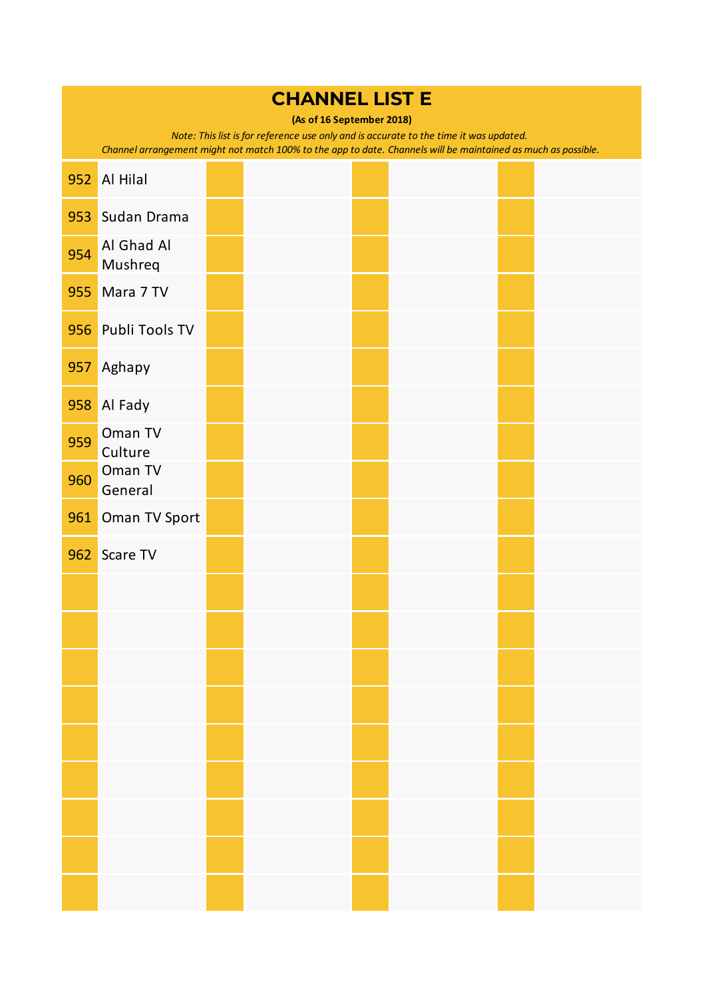| <b>CHANNEL LIST E</b><br>(As of 16 September 2018)<br>Note: This list is for reference use only and is accurate to the time it was updated.<br>Channel arrangement might not match 100% to the app to date. Channels will be maintained as much as possible. |                       |  |  |  |  |  |  |
|--------------------------------------------------------------------------------------------------------------------------------------------------------------------------------------------------------------------------------------------------------------|-----------------------|--|--|--|--|--|--|
| 952                                                                                                                                                                                                                                                          | <b>Al Hilal</b>       |  |  |  |  |  |  |
| 953                                                                                                                                                                                                                                                          | Sudan Drama           |  |  |  |  |  |  |
| 954                                                                                                                                                                                                                                                          | Al Ghad Al<br>Mushreq |  |  |  |  |  |  |
| 955                                                                                                                                                                                                                                                          | Mara 7 TV             |  |  |  |  |  |  |
| 956                                                                                                                                                                                                                                                          | Publi Tools TV        |  |  |  |  |  |  |
| 957                                                                                                                                                                                                                                                          | Aghapy                |  |  |  |  |  |  |
| 958                                                                                                                                                                                                                                                          | Al Fady               |  |  |  |  |  |  |
| 959                                                                                                                                                                                                                                                          | Oman TV<br>Culture    |  |  |  |  |  |  |
| 960                                                                                                                                                                                                                                                          | Oman TV<br>General    |  |  |  |  |  |  |
| 961                                                                                                                                                                                                                                                          | Oman TV Sport         |  |  |  |  |  |  |
| 962                                                                                                                                                                                                                                                          | Scare TV              |  |  |  |  |  |  |
|                                                                                                                                                                                                                                                              |                       |  |  |  |  |  |  |
|                                                                                                                                                                                                                                                              |                       |  |  |  |  |  |  |
|                                                                                                                                                                                                                                                              |                       |  |  |  |  |  |  |
|                                                                                                                                                                                                                                                              |                       |  |  |  |  |  |  |
|                                                                                                                                                                                                                                                              |                       |  |  |  |  |  |  |
|                                                                                                                                                                                                                                                              |                       |  |  |  |  |  |  |
|                                                                                                                                                                                                                                                              |                       |  |  |  |  |  |  |
|                                                                                                                                                                                                                                                              |                       |  |  |  |  |  |  |
|                                                                                                                                                                                                                                                              |                       |  |  |  |  |  |  |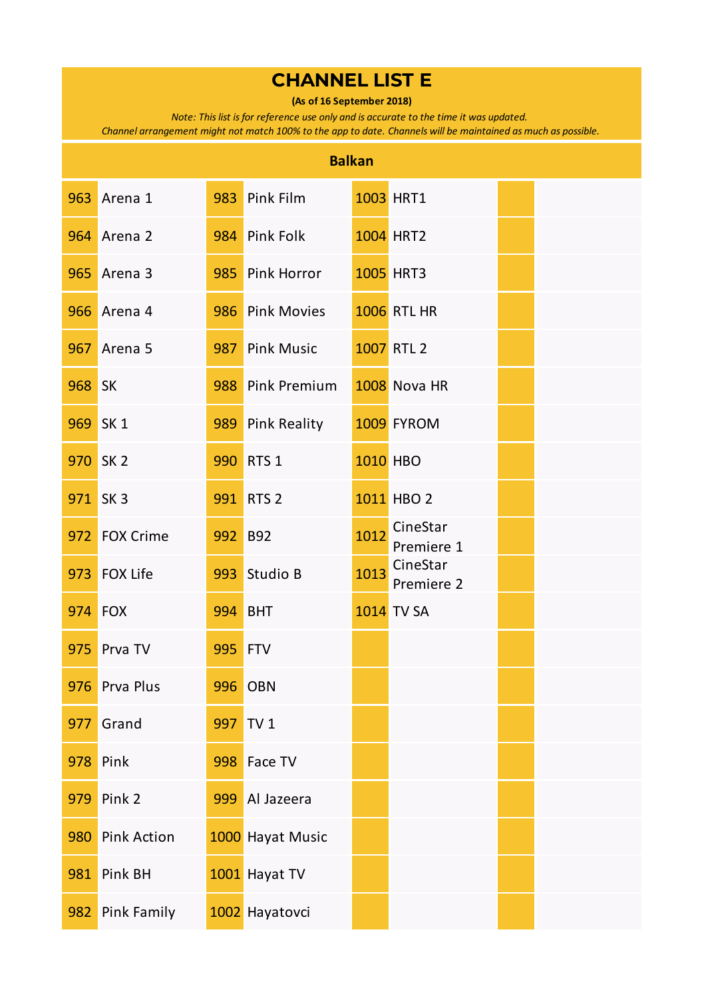**(As of 16 September 2018)**

*Note: This list is for reference use only and is accurate to the time it was updated.* 

|        | <b>Balkan</b>      |                |                  |                 |                        |  |  |  |  |
|--------|--------------------|----------------|------------------|-----------------|------------------------|--|--|--|--|
|        | 963 Arena 1        |                | 983 Pink Film    |                 | <b>1003 HRT1</b>       |  |  |  |  |
|        | <b>964</b> Arena 2 |                | 984 Pink Folk    |                 | <b>1004 HRT2</b>       |  |  |  |  |
| 965    | Arena 3            |                | 985 Pink Horror  |                 | <b>1005 HRT3</b>       |  |  |  |  |
|        | <b>966</b> Arena 4 |                | 986 Pink Movies  |                 | <b>1006 RTL HR</b>     |  |  |  |  |
|        | <b>967</b> Arena 5 |                | 987 Pink Music   |                 | 1007 RTL 2             |  |  |  |  |
| 968 SK |                    |                | 988 Pink Premium |                 | 1008 Nova HR           |  |  |  |  |
|        | 969 SK 1           |                | 989 Pink Reality |                 | 1009 FYROM             |  |  |  |  |
|        | 970 SK 2           |                | 990 RTS 1        | <b>1010 HBO</b> |                        |  |  |  |  |
|        | 971 SK 3           |                | 991 RTS 2        |                 | 1011 HBO 2             |  |  |  |  |
|        | 972 FOX Crime      | 992 B92        |                  | 1012            | CineStar<br>Premiere 1 |  |  |  |  |
| 973    | <b>FOX Life</b>    |                | 993 Studio B     | 1013            | CineStar<br>Premiere 2 |  |  |  |  |
|        | <b>974 FOX</b>     |                | <b>994 BHT</b>   |                 | <b>1014 TV SA</b>      |  |  |  |  |
|        | 975 Prva TV        | <b>995 FTV</b> |                  |                 |                        |  |  |  |  |
| 976    | Prva Plus          |                | <b>996 OBN</b>   |                 |                        |  |  |  |  |
| 977    | Grand              | 997            | TV <sub>1</sub>  |                 |                        |  |  |  |  |
| 978    | Pink               | 998            | Face TV          |                 |                        |  |  |  |  |
| 979    | Pink 2             | 999            | Al Jazeera       |                 |                        |  |  |  |  |
| 980    | <b>Pink Action</b> |                | 1000 Hayat Music |                 |                        |  |  |  |  |
| 981    | Pink BH            |                | 1001 Hayat TV    |                 |                        |  |  |  |  |
| 982    | Pink Family        |                | 1002 Hayatovci   |                 |                        |  |  |  |  |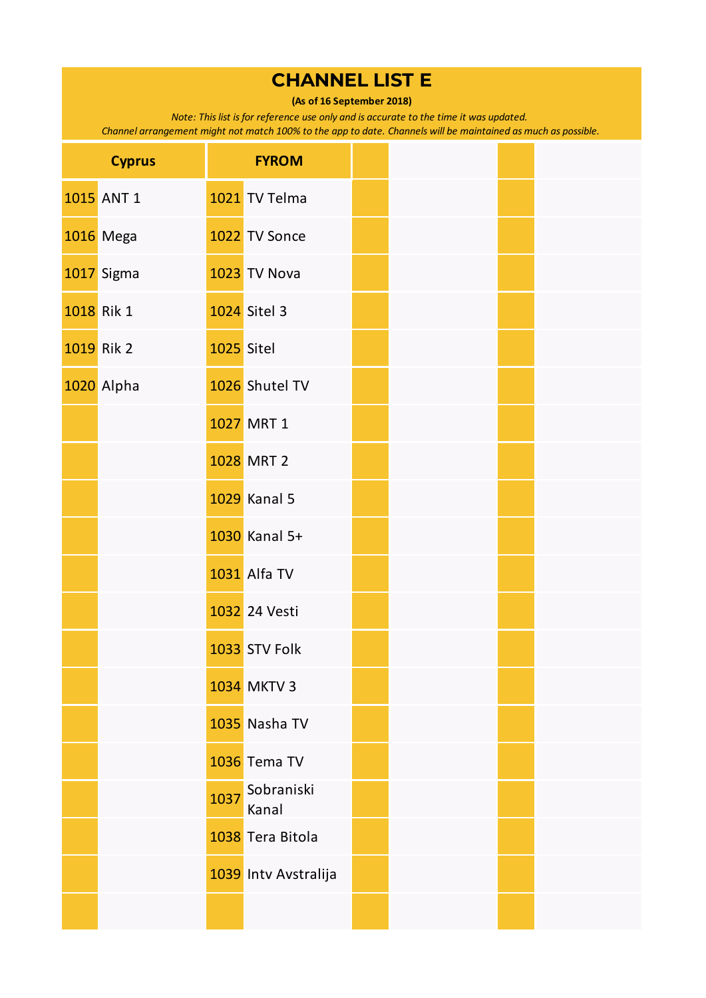**(As of 16 September 2018)**

*Note: This list is for reference use only and is accurate to the time it was updated.* 

| <b>Cyprus</b> | <b>FYROM</b>                |  |
|---------------|-----------------------------|--|
| 1015 ANT 1    | 1021 TV Telma               |  |
| 1016 Mega     | 1022 TV Sonce               |  |
| 1017 Sigma    | 1023 TV Nova                |  |
| 1018 Rik 1    | 1024 Sitel 3                |  |
| 1019 Rik 2    | 1025 Sitel                  |  |
| 1020 Alpha    | 1026 Shutel TV              |  |
|               | 1027 MRT 1                  |  |
|               | 1028 MRT 2                  |  |
|               | 1029 Kanal 5                |  |
|               | 1030 Kanal 5+               |  |
|               | 1031 Alfa TV                |  |
|               | 1032 24 Vesti               |  |
|               | 1033 STV Folk               |  |
|               | <b>1034 MKTV 3</b>          |  |
|               | 1035 Nasha TV               |  |
|               | 1036 Tema TV                |  |
|               | Sobraniski<br>1037<br>Kanal |  |
|               | 1038 Tera Bitola            |  |
|               | 1039 Intv Avstralija        |  |
|               |                             |  |